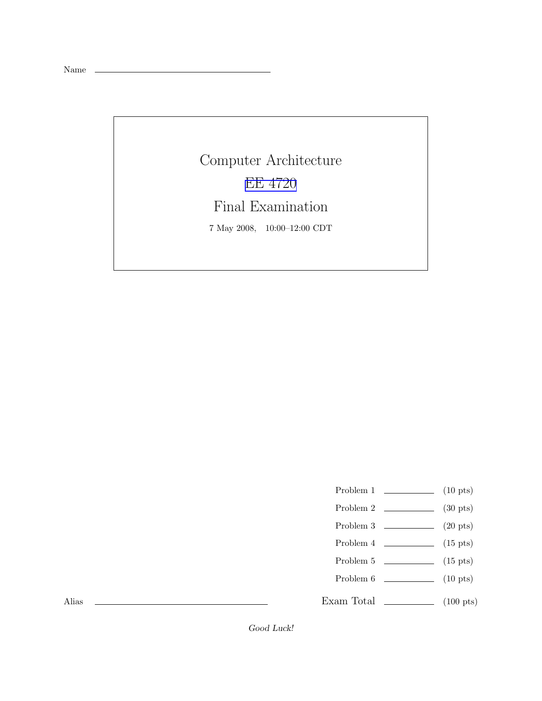Name

Computer Architecture [EE 4720](http://www.ece.lsu.edu/ee4720/) Final Examination 7 May 2008, 10:00–12:00 CDT

- Problem 1  $\qquad \qquad$  (10 pts)
- Problem 2 (30 pts)
- Problem  $3 \t\t(20 \text{ pts})$
- Problem 4  $\qquad \qquad$  (15 pts)
- Problem 5  $\qquad \qquad$  (15 pts)
- Problem 6 (10 pts)
- Exam Total \_\_\_\_\_\_\_\_\_\_\_\_\_ (100 pts)

Alias

Good Luck!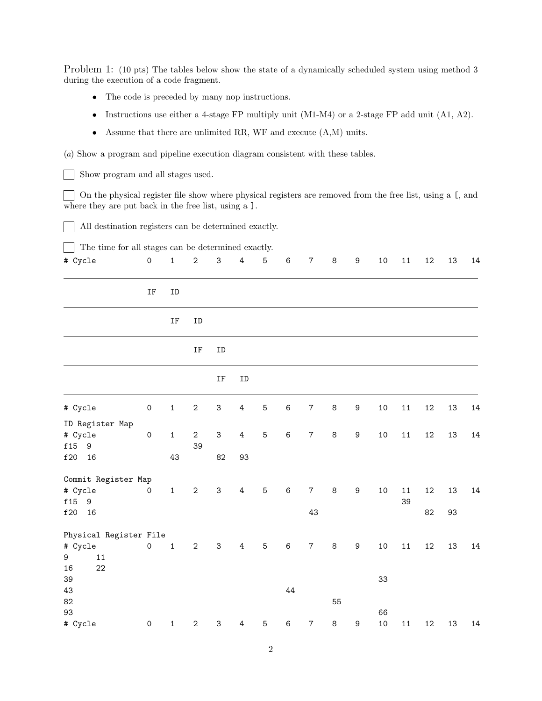Problem 1: (10 pts) The tables below show the state of a dynamically scheduled system using method 3 during the execution of a code fragment.

- The code is preceded by many nop instructions.
- Instructions use either a 4-stage FP multiply unit (M1-M4) or a 2-stage FP add unit (A1, A2).
- Assume that there are unlimited RR, WF and execute (A,M) units.

(a) Show a program and pipeline execution diagram consistent with these tables.

Show program and all stages used.  $\vert$   $\vert$ 

On the physical register file show where physical registers are removed from the free list, using a [, and where they are put back in the free list, using a  $\mathbf{I}$ .

All destination registers can be determined exactly. - 1

The time for all stages can be determined exactly.  $\blacksquare$ 

| # Cycle                            | $\mbox{O}$          | $\mathbf 1$  | $\sqrt{2}$         | $\ensuremath{\mathsf{3}}$ | $\ensuremath{4}$ | $\mathbf 5$ | 6       | $\boldsymbol{7}$ | $\,8\,$ | $\boldsymbol{9}$ | $10\,$ | $11\,$     | $12\,$ | 13 | 14     |
|------------------------------------|---------------------|--------------|--------------------|---------------------------|------------------|-------------|---------|------------------|---------|------------------|--------|------------|--------|----|--------|
|                                    | $\operatorname{IF}$ | ID           |                    |                           |                  |             |         |                  |         |                  |        |            |        |    |        |
|                                    |                     | IF           | ID                 |                           |                  |             |         |                  |         |                  |        |            |        |    |        |
|                                    |                     |              | IF                 | ID                        |                  |             |         |                  |         |                  |        |            |        |    |        |
|                                    |                     |              |                    | $\rm IF$                  | ID               |             |         |                  |         |                  |        |            |        |    |        |
| # Cycle                            | $\mathsf{O}\xspace$ | $\mathbf 1$  | $\sqrt{2}$         | $\ensuremath{\mathsf{3}}$ | $\ensuremath{4}$ | 5           | 6       | $\boldsymbol{7}$ | $\,8\,$ | $\mathsf 9$      | $10\,$ | $11\,$     | $12\,$ | 13 | 14     |
| ID Register Map                    |                     |              |                    |                           |                  |             |         |                  |         |                  |        |            |        |    |        |
| # Cycle<br>f15<br>$\boldsymbol{9}$ | $\mathsf{O}\xspace$ | $\mathbf 1$  | $\mathbf{2}$<br>39 | $\ensuremath{\mathsf{3}}$ | $\overline{4}$   | $\mathbf 5$ | $\,6$   | $\boldsymbol{7}$ | $\,8\,$ | $\boldsymbol{9}$ | $10\,$ | $11\,$     | $12\,$ | 13 | $14\,$ |
| f20<br>16                          |                     | 43           |                    | 82                        | 93               |             |         |                  |         |                  |        |            |        |    |        |
| Commit Register Map                |                     |              |                    |                           |                  |             |         |                  |         |                  |        |            |        |    |        |
| # Cycle<br>f15<br>$\boldsymbol{9}$ | $\mathsf{O}\xspace$ | $1\,$        | $\mathbf 2$        | $\mathbf{3}$              | $\overline{4}$   | $\mathbf 5$ | $\,6\,$ | $\overline{7}$   | $\,8\,$ | $\boldsymbol{9}$ | 10     | $11$<br>39 | 12     | 13 | 14     |
| $\mathtt{f20}$<br>16               |                     |              |                    |                           |                  |             |         | 43               |         |                  |        |            | 82     | 93 |        |
| Physical Register File             |                     |              |                    |                           |                  |             |         |                  |         |                  |        |            |        |    |        |
| # Cycle<br>$11\,$<br>9<br>22<br>16 | $\mathsf{O}\xspace$ | $\mathbf 1$  | $\mathbf{2}$       | $\ensuremath{\mathsf{3}}$ | $\overline{4}$   | $\mathbf 5$ | $\,6\,$ | $\boldsymbol{7}$ | $\,8\,$ | $\boldsymbol{9}$ | $10\,$ | $11\,$     | $12\,$ | 13 | $14\,$ |
| 39                                 |                     |              |                    |                           |                  |             |         |                  |         |                  | 33     |            |        |    |        |
| 43                                 |                     |              |                    |                           |                  |             | 44      |                  |         |                  |        |            |        |    |        |
| 82                                 |                     |              |                    |                           |                  |             |         |                  | 55      |                  |        |            |        |    |        |
| 93                                 |                     |              |                    |                           |                  |             |         |                  |         |                  | 66     |            |        |    |        |
| # Cycle                            | $\mathsf{O}\xspace$ | $\mathbf{1}$ | $\sqrt{2}$         | $\ensuremath{\mathsf{3}}$ | 4                | 5           | $\,6$   | $\boldsymbol{7}$ | $\,8\,$ | $\boldsymbol{9}$ | 10     | $11\,$     | $12\,$ | 13 | 14     |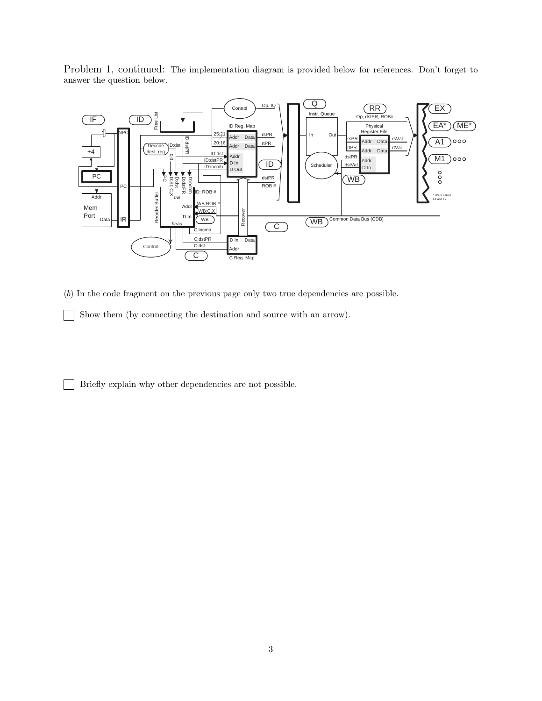Problem 1, continued: The implementation diagram is provided below for references. Don't forget to answer the question below.



(b) In the code fragment on the previous page only two true dependencies are possible.

Show them (by connecting the destination and source with an arrow).

Briefly explain why other dependencies are not possible.  $\blacksquare$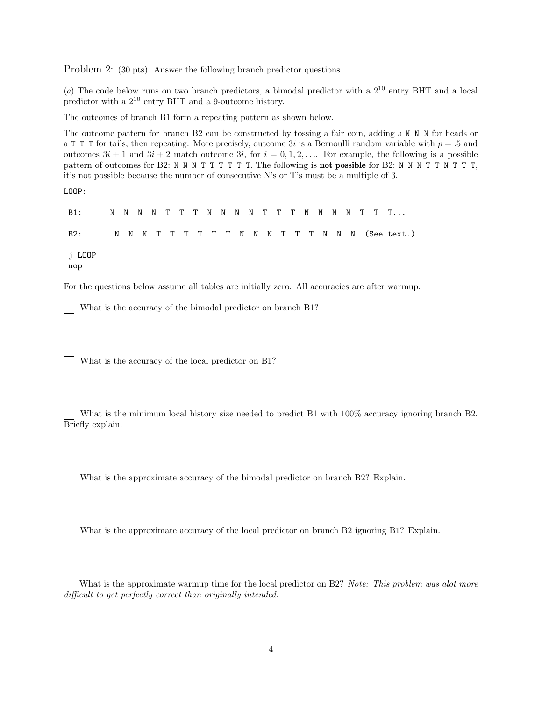Problem 2: (30 pts) Answer the following branch predictor questions.

(a) The code below runs on two branch predictors, a bimodal predictor with a  $2^{10}$  entry BHT and a local predictor with a 2<sup>10</sup> entry BHT and a 9-outcome history.

The outcomes of branch B1 form a repeating pattern as shown below.

The outcome pattern for branch B2 can be constructed by tossing a fair coin, adding a N N N for heads or a T T T for tails, then repeating. More precisely, outcome 3i is a Bernoulli random variable with  $p = .5$  and outcomes  $3i + 1$  and  $3i + 2$  match outcome  $3i$ , for  $i = 0, 1, 2, \ldots$  For example, the following is a possible pattern of outcomes for B2: N N N T T T T T T. The following is **not possible** for B2: N N N T T N T T T, it's not possible because the number of consecutive N's or T's must be a multiple of 3.

LOOP:

B1: N N N N T T T N N N N T T T N N N N T T T... B2: N N N T T T T T T N N N T T T N N N (See text.) j LOOP nop

For the questions below assume all tables are initially zero. All accuracies are after warmup.

What is the accuracy of the bimodal predictor on branch B1?

What is the accuracy of the local predictor on B1?

What is the minimum local history size needed to predict B1 with 100% accuracy ignoring branch B2. Briefly explain.

What is the approximate accuracy of the bimodal predictor on branch B2? Explain.

What is the approximate accuracy of the local predictor on branch B2 ignoring B1? Explain.

What is the approximate warmup time for the local predictor on B2? Note: This problem was alot more difficult to get perfectly correct than originally intended.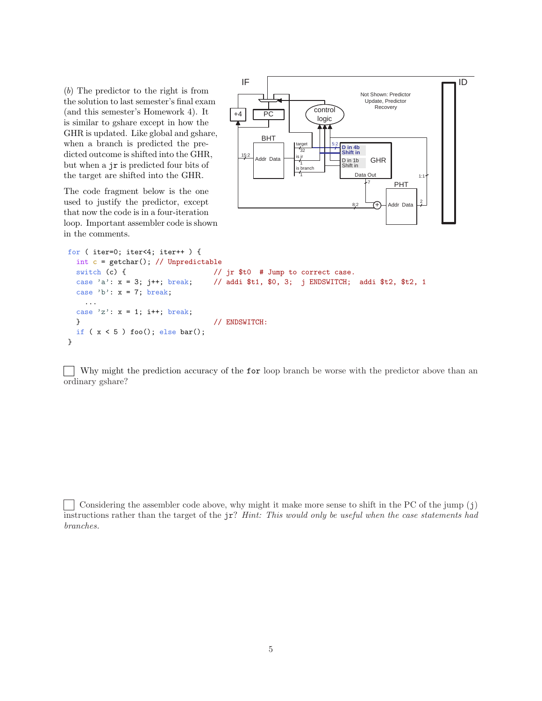(b) The predictor to the right is from the solution to last semester's final exam (and this semester's Homework 4). It is similar to gshare except in how the GHR is updated. Like global and gshare, when a branch is predicted the predicted outcome is shifted into the GHR, but when a jr is predicted four bits of the target are shifted into the GHR.

The code fragment below is the one used to justify the predictor, except that now the code is in a four-iteration loop. Important assembler code is shown in the comments.



```
for ( iter=0; iter<4; iter++ ) {
  int c = getchar(); // Unpredictable
 switch (c) { \frac{1}{\sqrt{2}} // jr $t0 # Jump to correct case.
  case 'a': x = 3; j++; break; // addi $t1, $0, 3; j ENDSWITCH; addi $t2, $t2, 1
  case 'b': x = 7; break;
   ...
  case 'z': x = 1; i++; break;
 } // ENDSWITCH:
 if (x < 5) foo(); else bar();
}
```
Why might the prediction accuracy of the **for** loop branch be worse with the predictor above than an ordinary gshare?

Considering the assembler code above, why might it make more sense to shift in the PC of the jump  $(j)$ instructions rather than the target of the jr? Hint: This would only be useful when the case statements had branches.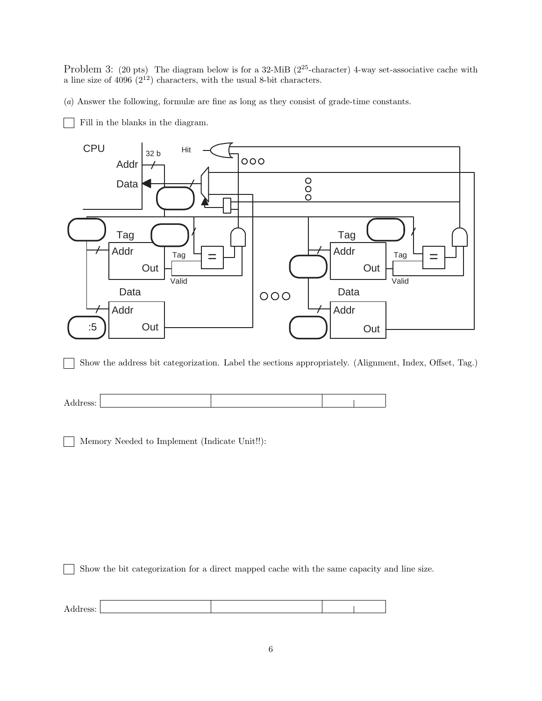Problem 3: (20 pts) The diagram below is for a 32-MiB (2<sup>25</sup>-character) 4-way set-associative cache with a line size of  $4096 (2^{12})$  characters, with the usual 8-bit characters.

(a) Answer the following, formulæ are fine as long as they consist of grade-time constants.

Fill in the blanks in the diagram.



Show the address bit categorization. Label the sections appropriately. (Alignment, Index, Offset, Tag.)  $\mathbf{I}$ 



Memory Needed to Implement (Indicate Unit!!):

Show the bit categorization for a direct mapped cache with the same capacity and line size.  $\mathbf{I}$ 

Address: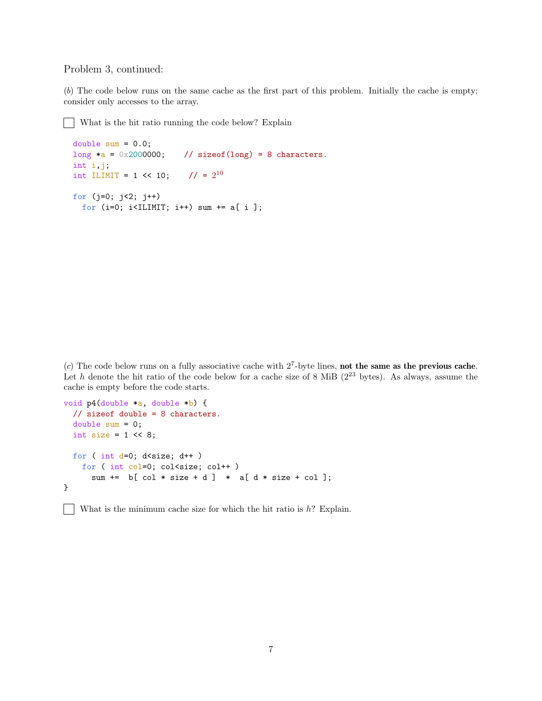## Problem 3, continued:

 $\mathbf{1}$ 

(b) The code below runs on the same cache as the first part of this problem. Initially the cache is empty; consider only accesses to the array.

What is the hit ratio running the code below? Explain  $\mathbb{R}$ 

```
double sum = 0.0;
long *a = 0x2000000; // sizeof(long) = 8 characters.
int i,j;
int ILIMIT = 1 \le 10;
                       1/ = 2^{10}for (j=0; j<2; j++)
  for (i=0; i<ILIMIT; i++) sum += a[ i ];
```
(c) The code below runs on a fully associative cache with  $2^7$ -byte lines, not the same as the previous cache. Let h denote the hit ratio of the code below for a cache size of 8 MiB  $(2^{23}$  bytes). As always, assume the cache is empty before the code starts.

```
void p4(double *a, double *b) {
  // sizeof double = 8 characters.
  double sum = 0;
  int size = 1 \leq 8;
  for ( int d=0; d<size; d++ )
    for ( int col=0; col<size; col++ )
      sum += b[ col * size + d ] * a[ d * size + col ];
}
```
What is the minimum cache size for which the hit ratio is  $h$ ? Explain.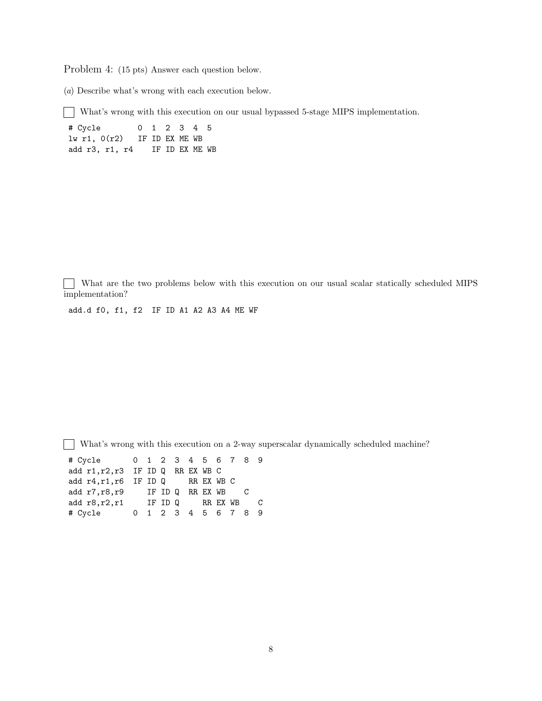Problem 4: (15 pts) Answer each question below.

(a) Describe what's wrong with each execution below.

What's wrong with this execution on our usual bypassed 5-stage MIPS implementation.

# Cycle 0 1 2 3 4 5 lw r1, 0(r2) IF ID EX ME WB add r3, r1, r4 IF ID EX ME WB

What are the two problems below with this execution on our usual scalar statically scheduled MIPS implementation?

add.d f0, f1, f2 IF ID A1 A2 A3 A4 ME WF

 $\Box$ What's wrong with this execution on a 2-way superscalar dynamically scheduled machine?

| # Cycle 0 1 2 3 4 5 6 7 8 9       |  |  |                     |  |                |              |
|-----------------------------------|--|--|---------------------|--|----------------|--------------|
| add r1, r2, r3 IF ID Q RR EX WB C |  |  |                     |  |                |              |
| add r4, r1, r6 IF ID Q RR EX WB C |  |  |                     |  |                |              |
| add r7, r8, r9 IF ID Q RR EX WB   |  |  |                     |  | $\overline{C}$ |              |
| add $r8, r2, r1$ IF ID Q RR EX WB |  |  |                     |  |                | $\mathbf{C}$ |
| # Cycle                           |  |  | 0 1 2 3 4 5 6 7 8 9 |  |                |              |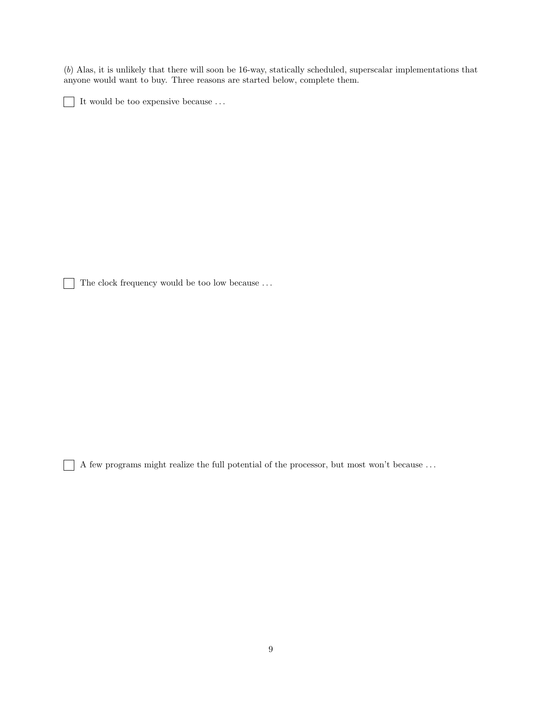(b) Alas, it is unlikely that there will soon be 16-way, statically scheduled, superscalar implementations that anyone would want to buy. Three reasons are started below, complete them.

It would be too expensive because  $\ldots$  $\blacksquare$ 

The clock frequency would be too low because  $\ldots$ 

 $\overline{\phantom{0}}$ 

A few programs might realize the full potential of the processor, but most won't because . . .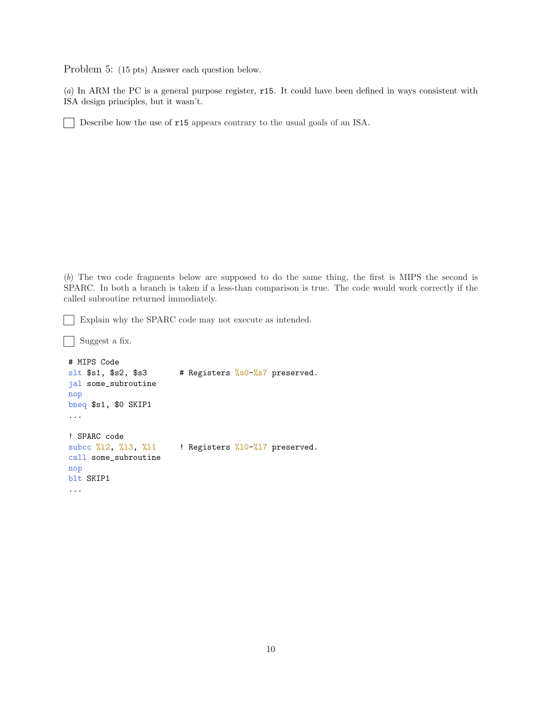Problem 5: (15 pts) Answer each question below.

(a) In ARM the PC is a general purpose register, r15. It could have been defined in ways consistent with ISA design principles, but it wasn't.

Describe how the use of r15 appears contrary to the usual goals of an ISA.

(b) The two code fragments below are supposed to do the same thing, the first is MIPS the second is SPARC. In both a branch is taken if a less-than comparison is true. The code would work correctly if the called subroutine returned immediately.

Explain why the SPARC code may not execute as intended.

```
Suggest a fix.
\overline{\phantom{0}}# MIPS Code
slt $sl, $s2, $s3 # Registers %s0-\frac{1}{s}87 preserved.
jal some_subroutine
nop
bneq $s1, $0 SKIP1
...
! SPARC code
subcc \frac{2}{3}12, \frac{2}{3}, \frac{2}{3}11 ! Registers \frac{2}{3}10-\frac{2}{3} preserved.
call some_subroutine
nop
blt SKIP1
...
```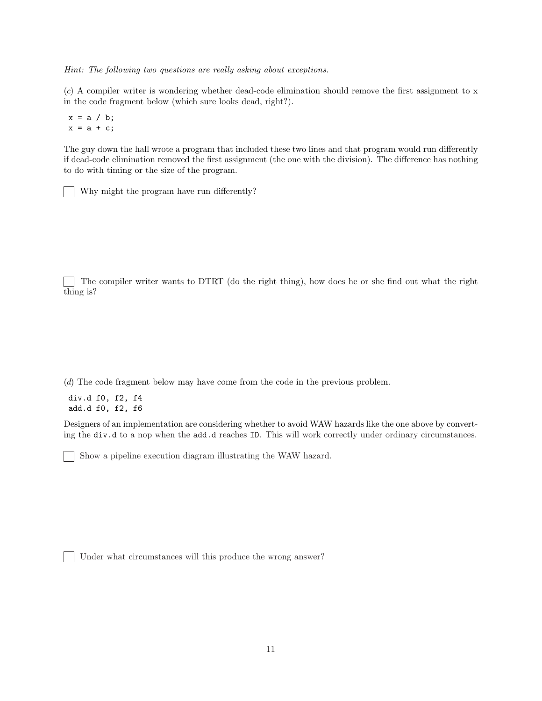Hint: The following two questions are really asking about exceptions.

(c) A compiler writer is wondering whether dead-code elimination should remove the first assignment to x in the code fragment below (which sure looks dead, right?).

 $x = a / b;$  $x = a + c$ ;

The guy down the hall wrote a program that included these two lines and that program would run differently if dead-code elimination removed the first assignment (the one with the division). The difference has nothing to do with timing or the size of the program.

Why might the program have run differently?

The compiler writer wants to DTRT (do the right thing), how does he or she find out what the right thing is?

(d) The code fragment below may have come from the code in the previous problem.

div.d f0, f2, f4 add.d f0, f2, f6

Designers of an implementation are considering whether to avoid WAW hazards like the one above by converting the div.d to a nop when the add.d reaches ID. This will work correctly under ordinary circumstances.

Show a pipeline execution diagram illustrating the WAW hazard.

Under what circumstances will this produce the wrong answer?